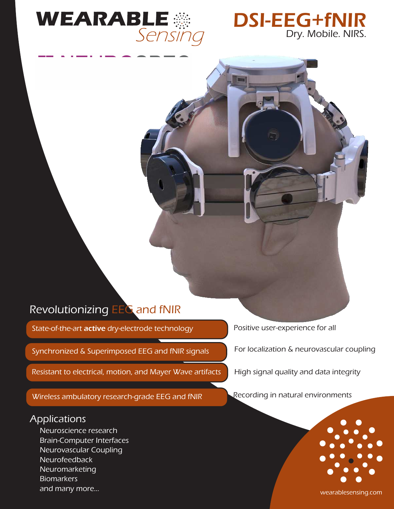



# Revolutionizing EEG and fNIR

State-of-the-art active dry-electrode technology

Synchronized & Superimposed EEG and fNIR signals

Resistant to electrical, motion, and Mayer Wave artifacts

Wireless ambulatory research-grade EEG and fNIR

## Applications

Neuroscience research Brain-Computer Interfaces Neurovascular Coupling Neurofeedback Neuromarketing **Biomarkers** and many more...

Positive user-experience for all

For localization & neurovascular coupling

High signal quality and data integrity

Recording in natural environments



wearablesensing.com